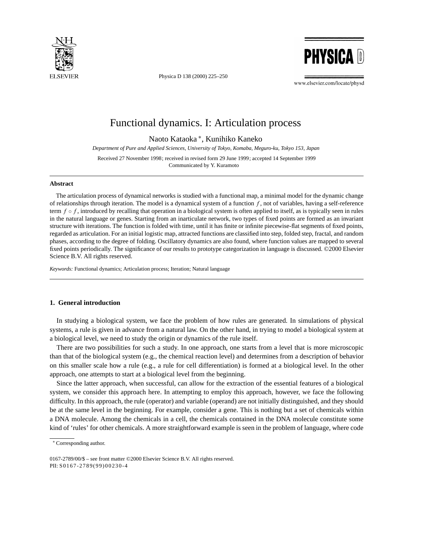

Physica D 138 (2000) 225–250



www.elsevier.com/locate/physd

# Functional dynamics. I: Articulation process

Naoto Kataoka ∗, Kunihiko Kaneko

*Department of Pure and Applied Sciences, University of Tokyo, Komaba, Meguro-ku, Tokyo 153, Japan*

Received 27 November 1998; received in revised form 29 June 1999; accepted 14 September 1999 Communicated by Y. Kuramoto

#### **Abstract**

The articulation process of dynamical networks is studied with a functional map, a minimal model for the dynamic change of relationships through iteration. The model is a dynamical system of a function  $f$ , not of variables, having a self-reference term  $f \circ f$ , introduced by recalling that operation in a biological system is often applied to itself, as is typically seen in rules in the natural language or genes. Starting from an inarticulate network, two types of fixed points are formed as an invariant structure with iterations. The function is folded with time, until it has finite or infinite piecewise-flat segments of fixed points, regarded as articulation. For an initial logistic map, attracted functions are classified into step, folded step, fractal, and random phases, according to the degree of folding. Oscillatory dynamics are also found, where function values are mapped to several fixed points periodically. The significance of our results to prototype categorization in language is discussed. ©2000 Elsevier Science B.V. All rights reserved.

*Keywords:* Functional dynamics; Articulation process; Iteration; Natural language

# **1. General introduction**

In studying a biological system, we face the problem of how rules are generated. In simulations of physical systems, a rule is given in advance from a natural law. On the other hand, in trying to model a biological system at a biological level, we need to study the origin or dynamics of the rule itself.

There are two possibilities for such a study. In one approach, one starts from a level that is more microscopic than that of the biological system (e.g., the chemical reaction level) and determines from a description of behavior on this smaller scale how a rule (e.g., a rule for cell differentiation) is formed at a biological level. In the other approach, one attempts to start at a biological level from the beginning.

Since the latter approach, when successful, can allow for the extraction of the essential features of a biological system, we consider this approach here. In attempting to employ this approach, however, we face the following difficulty. In this approach, the rule (operator) and variable (operand) are not initially distinguished, and they should be at the same level in the beginning. For example, consider a gene. This is nothing but a set of chemicals within a DNA molecule. Among the chemicals in a cell, the chemicals contained in the DNA molecule constitute some kind of 'rules' for other chemicals. A more straightforward example is seen in the problem of language, where code

<sup>∗</sup> Corresponding author.

<sup>0167-2789/00/\$ –</sup> see front matter ©2000 Elsevier Science B.V. All rights reserved. PII: S0167-2789(99)00230-4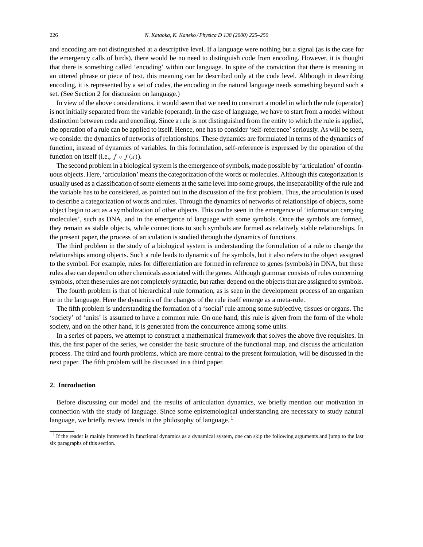and encoding are not distinguished at a descriptive level. If a language were nothing but a signal (as is the case for the emergency calls of birds), there would be no need to distinguish code from encoding. However, it is thought that there is something called 'encoding' within our language. In spite of the conviction that there is meaning in an uttered phrase or piece of text, this meaning can be described only at the code level. Although in describing encoding, it is represented by a set of codes, the encoding in the natural language needs something beyond such a set. (See Section 2 for discussion on language.)

In view of the above considerations, it would seem that we need to construct a model in which the rule (operator) is not initially separated from the variable (operand). In the case of language, we have to start from a model without distinction between code and encoding. Since a rule is not distinguished from the entity to which the rule is applied, the operation of a rule can be applied to itself. Hence, one has to consider 'self-reference' seriously. As will be seen, we consider the dynamics of networks of relationships. These dynamics are formulated in terms of the dynamics of function, instead of dynamics of variables. In this formulation, self-reference is expressed by the operation of the function on itself (i.e.,  $f \circ f(x)$ ).

The second problem in a biological system is the emergence of symbols, made possible by 'articulation' of continuous objects. Here, 'articulation' means the categorization of the words or molecules. Although this categorization is usually used as a classification of some elements at the same level into some groups, the inseparability of the rule and the variable has to be considered, as pointed out in the discussion of the first problem. Thus, the articulation is used to describe a categorization of words and rules. Through the dynamics of networks of relationships of objects, some object begin to act as a symbolization of other objects. This can be seen in the emergence of 'information carrying molecules', such as DNA, and in the emergence of language with some symbols. Once the symbols are formed, they remain as stable objects, while connections to such symbols are formed as relatively stable relationships. In the present paper, the process of articulation is studied through the dynamics of functions.

The third problem in the study of a biological system is understanding the formulation of a rule to change the relationships among objects. Such a rule leads to dynamics of the symbols, but it also refers to the object assigned to the symbol. For example, rules for differentiation are formed in reference to genes (symbols) in DNA, but these rules also can depend on other chemicals associated with the genes. Although grammar consists of rules concerning symbols, often these rules are not completely syntactic, but rather depend on the objects that are assigned to symbols.

The fourth problem is that of hierarchical rule formation, as is seen in the development process of an organism or in the language. Here the dynamics of the changes of the rule itself emerge as a meta-rule.

The fifth problem is understanding the formation of a 'social' rule among some subjective, tissues or organs. The 'society' of 'units' is assumed to have a common rule. On one hand, this rule is given from the form of the whole society, and on the other hand, it is generated from the concurrence among some units.

In a series of papers, we attempt to construct a mathematical framework that solves the above five requisites. In this, the first paper of the series, we consider the basic structure of the functional map, and discuss the articulation process. The third and fourth problems, which are more central to the present formulation, will be discussed in the next paper. The fifth problem will be discussed in a third paper.

## **2. Introduction**

Before discussing our model and the results of articulation dynamics, we briefly mention our motivation in connection with the study of language. Since some epistemological understanding are necessary to study natural language, we briefly review trends in the philosophy of language.  $<sup>1</sup>$ </sup>

<sup>&</sup>lt;sup>1</sup> If the reader is mainly interested in functional dynamics as a dynamical system, one can skip the following arguments and jump to the last six paragraphs of this section.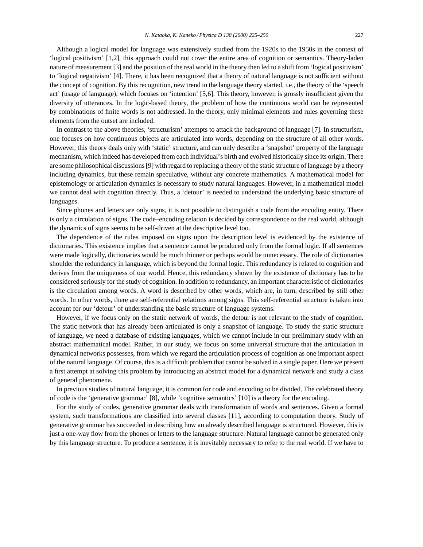Although a logical model for language was extensively studied from the 1920s to the 1950s in the context of 'logical positivism' [1,2], this approach could not cover the entire area of cognition or semantics. Theory-laden nature of measurement [3] and the position of the real world in the theory then led to a shift from 'logical positivism' to 'logical negativism' [4]. There, it has been recognized that a theory of natural language is not sufficient without the concept of cognition. By this recognition, new trend in the language theory started, i.e., the theory of the 'speech act' (usage of language), which focuses on 'intention' [5,6]. This theory, however, is grossly insufficient given the diversity of utterances. In the logic-based theory, the problem of how the continuous world can be represented by combinations of finite words is not addressed. In the theory, only minimal elements and rules governing these elements from the outset are included.

In contrast to the above theories, 'structurism' attempts to attack the background of language [7]. In structurism, one focuses on how continuous objects are articulated into words, depending on the structure of all other words. However, this theory deals only with 'static' structure, and can only describe a 'snapshot' property of the language mechanism, which indeed has developed from each individual's birth and evolved historically since its origin. There are some philosophical discussions [9] with regard to replacing a theory of the static structure of language by a theory including dynamics, but these remain speculative, without any concrete mathematics. A mathematical model for epistemology or articulation dynamics is necessary to study natural languages. However, in a mathematical model we cannot deal with cognition directly. Thus, a 'detour' is needed to understand the underlying basic structure of languages.

Since phones and letters are only signs, it is not possible to distinguish a code from the encoding entity. There is only a circulation of signs. The code–encoding relation is decided by correspondence to the real world, although the dynamics of signs seems to be self-driven at the descriptive level too.

The dependence of the rules imposed on signs upon the description level is evidenced by the existence of dictionaries. This existence implies that a sentence cannot be produced only from the formal logic. If all sentences were made logically, dictionaries would be much thinner or perhaps would be unnecessary. The role of dictionaries shoulder the redundancy in language, which is beyond the formal logic. This redundancy is related to cognition and derives from the uniqueness of our world. Hence, this redundancy shown by the existence of dictionary has to be considered seriously for the study of cognition. In addition to redundancy, an important characteristic of dictionaries is the circulation among words. A word is described by other words, which are, in turn, described by still other words. In other words, there are self-referential relations among signs. This self-referential structure is taken into account for our 'detour' of understanding the basic structure of language systems.

However, if we focus only on the static network of words, the detour is not relevant to the study of cognition. The static network that has already been articulated is only a snapshot of language. To study the static structure of language, we need a database of existing languages, which we cannot include in our preliminary study with an abstract mathematical model. Rather, in our study, we focus on some universal structure that the articulation in dynamical networks possesses, from which we regard the articulation process of cognition as one important aspect of the natural language. Of course, this is a difficult problem that cannot be solved in a single paper. Here we present a first attempt at solving this problem by introducing an abstract model for a dynamical network and study a class of general phenomena.

In previous studies of natural language, it is common for code and encoding to be divided. The celebrated theory of code is the 'generative grammar' [8], while 'cognitive semantics' [10] is a theory for the encoding.

For the study of codes, generative grammar deals with transformation of words and sentences. Given a formal system, such transformations are classified into several classes [11], according to computation theory. Study of generative grammar has succeeded in describing how an already described language is structured. However, this is just a one-way flow from the phones or letters to the language structure. Natural language cannot be generated only by this language structure. To produce a sentence, it is inevitably necessary to refer to the real world. If we have to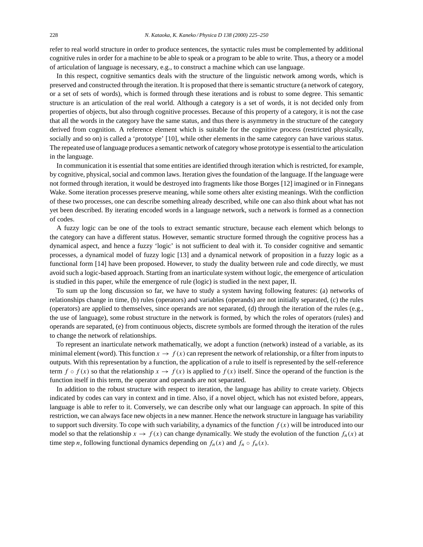refer to real world structure in order to produce sentences, the syntactic rules must be complemented by additional cognitive rules in order for a machine to be able to speak or a program to be able to write. Thus, a theory or a model of articulation of language is necessary, e.g., to construct a machine which can use language.

In this respect, cognitive semantics deals with the structure of the linguistic network among words, which is preserved and constructed through the iteration. It is proposed that there is semantic structure (a network of category, or a set of sets of words), which is formed through these iterations and is robust to some degree. This semantic structure is an articulation of the real world. Although a category is a set of words, it is not decided only from properties of objects, but also through cognitive processes. Because of this property of a category, it is not the case that all the words in the category have the same status, and thus there is asymmetry in the structure of the category derived from cognition. A reference element which is suitable for the cognitive process (restricted physically, socially and so on) is called a 'prototype' [10], while other elements in the same category can have various status. The repeated use of language produces a semantic network of category whose prototype is essential to the articulation in the language.

In communication it is essential that some entities are identified through iteration which is restricted, for example, by cognitive, physical, social and common laws. Iteration gives the foundation of the language. If the language were not formed through iteration, it would be destroyed into fragments like those Borges [12] imagined or in Finnegans Wake. Some iteration processes preserve meaning, while some others alter existing meanings. With the confliction of these two processes, one can describe something already described, while one can also think about what has not yet been described. By iterating encoded words in a language network, such a network is formed as a connection of codes.

A fuzzy logic can be one of the tools to extract semantic structure, because each element which belongs to the category can have a different status. However, semantic structure formed through the cognitive process has a dynamical aspect, and hence a fuzzy 'logic' is not sufficient to deal with it. To consider cognitive and semantic processes, a dynamical model of fuzzy logic [13] and a dynamical network of proposition in a fuzzy logic as a functional form [14] have been proposed. However, to study the duality between rule and code directly, we must avoid such a logic-based approach. Starting from an inarticulate system without logic, the emergence of articulation is studied in this paper, while the emergence of rule (logic) is studied in the next paper, II.

To sum up the long discussion so far, we have to study a system having following features: (a) networks of relationships change in time, (b) rules (operators) and variables (operands) are not initially separated, (c) the rules (operators) are applied to themselves, since operands are not separated, (d) through the iteration of the rules (e.g., the use of language), some robust structure in the network is formed, by which the roles of operators (rules) and operands are separated, (e) from continuous objects, discrete symbols are formed through the iteration of the rules to change the network of relationships.

To represent an inarticulate network mathematically, we adopt a function (network) instead of a variable, as its minimal element (word). This function  $x \to f(x)$  can represent the network of relationship, or a filter from inputs to outputs. With this representation by a function, the application of a rule to itself is represented by the self-reference term  $f \circ f(x)$  so that the relationship  $x \to f(x)$  is applied to  $f(x)$  itself. Since the operand of the function is the function itself in this term, the operator and operands are not separated.

In addition to the robust structure with respect to iteration, the language has ability to create variety. Objects indicated by codes can vary in context and in time. Also, if a novel object, which has not existed before, appears, language is able to refer to it. Conversely, we can describe only what our language can approach. In spite of this restriction, we can always face new objects in a new manner. Hence the network structure in language has variability to support such diversity. To cope with such variability, a dynamics of the function  $f(x)$  will be introduced into our model so that the relationship  $x \to f(x)$  can change dynamically. We study the evolution of the function  $f_n(x)$  at time step *n*, following functional dynamics depending on  $f_n(x)$  and  $f_n \circ f_n(x)$ .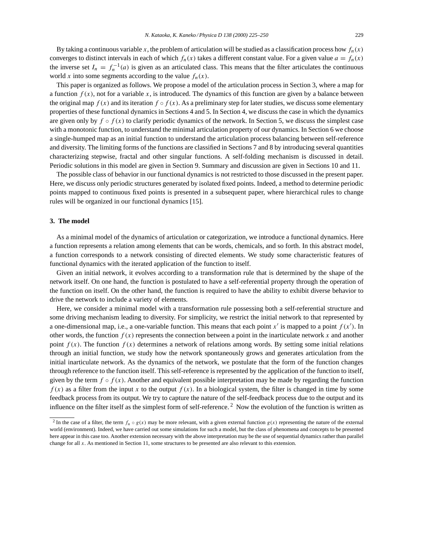By taking a continuous variable x, the problem of articulation will be studied as a classification process how  $f_n(x)$ converges to distinct intervals in each of which  $f_n(x)$  takes a different constant value. For a given value  $a = f_n(x)$ the inverse set  $I_n = f_n^{-1}(a)$  is given as an articulated class. This means that the filter articulates the continuous world x into some segments according to the value  $f_n(x)$ .

This paper is organized as follows. We propose a model of the articulation process in Section 3, where a map for a function  $f(x)$ , not for a variable x, is introduced. The dynamics of this function are given by a balance between the original map  $f(x)$  and its iteration  $f \circ f(x)$ . As a preliminary step for later studies, we discuss some elementary properties of these functional dynamics in Sections 4 and 5. In Section 4, we discuss the case in which the dynamics are given only by  $f \circ f(x)$  to clarify periodic dynamics of the network. In Section 5, we discuss the simplest case with a monotonic function, to understand the minimal articulation property of our dynamics. In Section 6 we choose a single-humped map as an initial function to understand the articulation process balancing between self-reference and diversity. The limiting forms of the functions are classified in Sections 7 and 8 by introducing several quantities characterizing stepwise, fractal and other singular functions. A self-folding mechanism is discussed in detail. Periodic solutions in this model are given in Section 9. Summary and discussion are given in Sections 10 and 11.

The possible class of behavior in our functional dynamics is not restricted to those discussed in the present paper. Here, we discuss only periodic structures generated by isolated fixed points. Indeed, a method to determine periodic points mapped to continuous fixed points is presented in a subsequent paper, where hierarchical rules to change rules will be organized in our functional dynamics [15].

# **3. The model**

As a minimal model of the dynamics of articulation or categorization, we introduce a functional dynamics. Here a function represents a relation among elements that can be words, chemicals, and so forth. In this abstract model, a function corresponds to a network consisting of directed elements. We study some characteristic features of functional dynamics with the iterated application of the function to itself.

Given an initial network, it evolves according to a transformation rule that is determined by the shape of the network itself. On one hand, the function is postulated to have a self-referential property through the operation of the function on itself. On the other hand, the function is required to have the ability to exhibit diverse behavior to drive the network to include a variety of elements.

Here, we consider a minimal model with a transformation rule possessing both a self-referential structure and some driving mechanism leading to diversity. For simplicity, we restrict the initial network to that represented by a one-dimensional map, i.e., a one-variable function. This means that each point x' is mapped to a point  $f(x')$ . In other words, the function  $f(x)$  represents the connection between a point in the inarticulate network x and another point  $f(x)$ . The function  $f(x)$  determines a network of relations among words. By setting some initial relations through an initial function, we study how the network spontaneously grows and generates articulation from the initial inarticulate network. As the dynamics of the network, we postulate that the form of the function changes through reference to the function itself. This self-reference is represented by the application of the function to itself, given by the term  $f \circ f(x)$ . Another and equivalent possible interpretation may be made by regarding the function  $f(x)$  as a filter from the input x to the output  $f(x)$ . In a biological system, the filter is changed in time by some feedback process from its output. We try to capture the nature of the self-feedback process due to the output and its influence on the filter itself as the simplest form of self-reference.<sup>2</sup> Now the evolution of the function is written as

<sup>&</sup>lt;sup>2</sup> In the case of a filter, the term  $f_n \circ g(x)$  may be more relevant, with a given external function  $g(x)$  representing the nature of the external world (environment). Indeed, we have carried out some simulations for such a model, but the class of phenomena and concepts to be presented here appear in this case too. Another extension necessary with the above interpretation may be the use of sequential dynamics rather than parallel change for all x. As mentioned in Section 11, some structures to be presented are also relevant to this extension.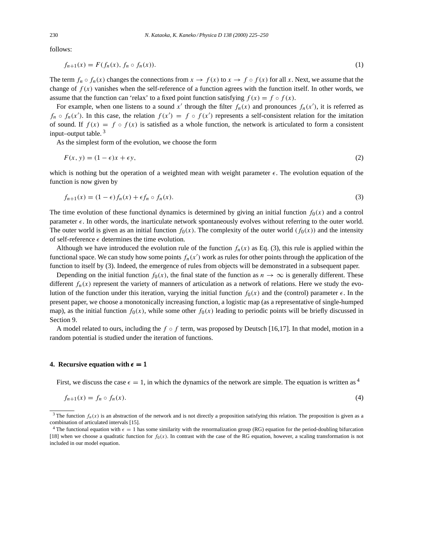follows:

$$
f_{n+1}(x) = F(f_n(x), f_n \circ f_n(x)).
$$
 (1)

The term  $f_n \circ f_n(x)$  changes the connections from  $x \to f(x)$  to  $x \to f \circ f(x)$  for all x. Next, we assume that the change of  $f(x)$  vanishes when the self-reference of a function agrees with the function itself. In other words, we assume that the function can 'relax' to a fixed point function satisfying  $f(x) = f \circ f(x)$ .

For example, when one listens to a sound x' through the filter  $f_n(x)$  and pronounces  $f_n(x')$ , it is referred as  $f_n \circ f_n(x')$ . In this case, the relation  $f(x') = f \circ f(x')$  represents a self-consistent relation for the imitation of sound. If  $f(x) = f \circ f(x)$  is satisfied as a whole function, the network is articulated to form a consistent input–output table.  $3$ 

As the simplest form of the evolution, we choose the form

$$
F(x, y) = (1 - \epsilon)x + \epsilon y,\tag{2}
$$

which is nothing but the operation of a weighted mean with weight parameter  $\epsilon$ . The evolution equation of the function is now given by

$$
f_{n+1}(x) = (1 - \epsilon)f_n(x) + \epsilon f_n \circ f_n(x). \tag{3}
$$

The time evolution of these functional dynamics is determined by giving an initial function  $f_0(x)$  and a control parameter  $\epsilon$ . In other words, the inarticulate network spontaneously evolves without referring to the outer world. The outer world is given as an initial function  $f_0(x)$ . The complexity of the outer world  $(f_0(x))$  and the intensity of self-reference  $\epsilon$  determines the time evolution.

Although we have introduced the evolution rule of the function  $f_n(x)$  as Eq. (3), this rule is applied within the functional space. We can study how some points  $f_n(x')$  work as rules for other points through the application of the function to itself by (3). Indeed, the emergence of rules from objects will be demonstrated in a subsequent paper.

Depending on the initial function  $f_0(x)$ , the final state of the function as  $n \to \infty$  is generally different. These different  $f_n(x)$  represent the variety of manners of articulation as a network of relations. Here we study the evolution of the function under this iteration, varying the initial function  $f_0(x)$  and the (control) parameter  $\epsilon$ . In the present paper, we choose a monotonically increasing function, a logistic map (as a representative of single-humped map), as the initial function  $f_0(x)$ , while some other  $f_0(x)$  leading to periodic points will be briefly discussed in Section 9.

A model related to ours, including the  $f \circ f$  term, was proposed by Deutsch [16,17]. In that model, motion in a random potential is studied under the iteration of functions.

# **4. Recursive equation with**  $\epsilon = 1$

First, we discuss the case  $\epsilon = 1$ , in which the dynamics of the network are simple. The equation is written as <sup>4</sup>

$$
f_{n+1}(x) = f_n \circ f_n(x). \tag{4}
$$

<sup>&</sup>lt;sup>3</sup> The function  $f_n(x)$  is an abstraction of the network and is not directly a proposition satisfying this relation. The proposition is given as a combination of articulated intervals [15].

<sup>&</sup>lt;sup>4</sup> The functional equation with  $\epsilon = 1$  has some similarity with the renormalization group (RG) equation for the period-doubling bifurcation [18] when we choose a quadratic function for  $f_0(x)$ . In contrast with the case of the RG equation, however, a scaling transformation is not included in our model equation.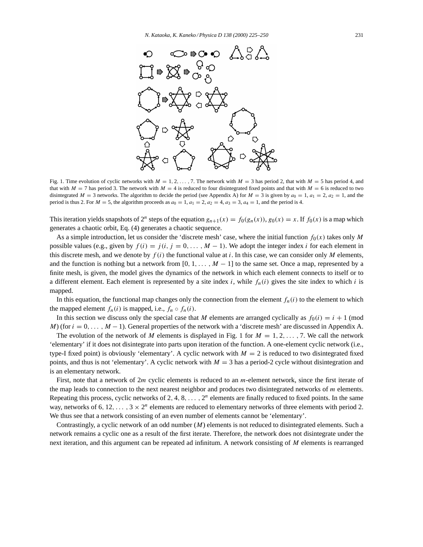

Fig. 1. Time evolution of cyclic networks with  $M = 1, 2, \ldots, 7$ . The network with  $M = 3$  has period 2, that with  $M = 5$  has period 4, and that with  $M = 7$  has period 3. The network with  $M = 4$  is reduced to four disintegrated fixed points and that with  $M = 6$  is reduced to two disintegrated  $M = 3$  networks. The algorithm to decide the period (see Appendix A) for  $M = 3$  is given by  $a_0 = 1$ ,  $a_1 = 2$ ,  $a_2 = 1$ , and the period is thus 2. For  $M = 5$ , the algorithm proceeds as  $a_0 = 1$ ,  $a_1 = 2$ ,  $a_2 = 4$ ,  $a_3 = 3$ ,  $a_4 = 1$ , and the period is 4.

This iteration yields snapshots of  $2^n$  steps of the equation  $g_{n+1}(x) = f_0(g_n(x)), g_0(x) = x$ . If  $f_0(x)$  is a map which generates a chaotic orbit, Eq. (4) generates a chaotic sequence.

As a simple introduction, let us consider the 'discrete mesh' case, where the initial function  $f_0(x)$  takes only M possible values (e.g., given by  $f(i) = j(i, j = 0, \ldots, M - 1)$ ). We adopt the integer index i for each element in this discrete mesh, and we denote by  $f(i)$  the functional value at i. In this case, we can consider only M elements, and the function is nothing but a network from  $[0, 1, \ldots, M - 1]$  to the same set. Once a map, represented by a finite mesh, is given, the model gives the dynamics of the network in which each element connects to itself or to a different element. Each element is represented by a site index i, while  $f_n(i)$  gives the site index to which i is mapped.

In this equation, the functional map changes only the connection from the element  $f_n(i)$  to the element to which the mapped element  $f_n(i)$  is mapped, i.e.,  $f_n \circ f_n(i)$ .

In this section we discuss only the special case that M elements are arranged cyclically as  $f_0(i) = i + 1$  (mod M) (for  $i = 0, \ldots, M - 1$ ). General properties of the network with a 'discrete mesh' are discussed in Appendix A.

The evolution of the network of M elements is displayed in Fig. 1 for  $M = 1, 2, \ldots, 7$ . We call the network 'elementary' if it does not disintegrate into parts upon iteration of the function. A one-element cyclic network (i.e., type-I fixed point) is obviously 'elementary'. A cyclic network with  $M = 2$  is reduced to two disintegrated fixed points, and thus is not 'elementary'. A cyclic network with  $M = 3$  has a period-2 cycle without disintegration and is an elementary network.

First, note that a network of 2m cyclic elements is reduced to an m-element network, since the first iterate of the map leads to connection to the next nearest neighbor and produces two disintegrated networks of  $m$  elements. Repeating this process, cyclic networks of 2, 4, 8,  $\dots$ ,  $2^n$  elements are finally reduced to fixed points. In the same way, networks of 6, 12, ...,  $3 \times 2^n$  elements are reduced to elementary networks of three elements with period 2. We thus see that a network consisting of an even number of elements cannot be 'elementary'.

Contrastingly, a cyclic network of an odd number (M) elements is not reduced to disintegrated elements. Such a network remains a cyclic one as a result of the first iterate. Therefore, the network does not disintegrate under the next iteration, and this argument can be repeated ad infinitum. A network consisting of M elements is rearranged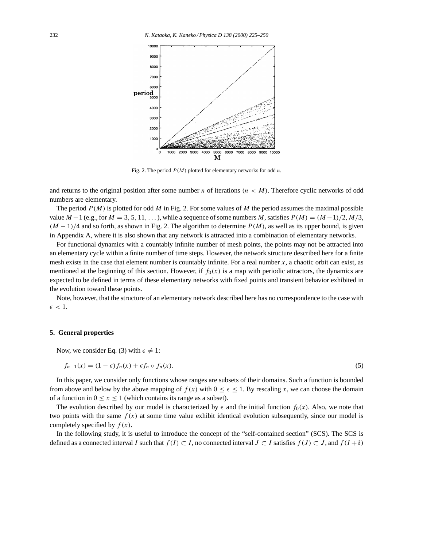

Fig. 2. The period  $P(M)$  plotted for elementary networks for odd n.

and returns to the original position after some number n of iterations  $(n < M)$ . Therefore cyclic networks of odd numbers are elementary.

The period  $P(M)$  is plotted for odd M in Fig. 2. For some values of M the period assumes the maximal possible value  $M-1$  (e.g., for  $M = 3, 5, 11, \ldots$ ), while a sequence of some numbers M, satisfies  $P(M) = (M-1)/2$ ,  $M/3$ ,  $(M-1)/4$  and so forth, as shown in Fig. 2. The algorithm to determine  $P(M)$ , as well as its upper bound, is given in Appendix A, where it is also shown that any network is attracted into a combination of elementary networks.

For functional dynamics with a countably infinite number of mesh points, the points may not be attracted into an elementary cycle within a finite number of time steps. However, the network structure described here for a finite mesh exists in the case that element number is countably infinite. For a real number x, a chaotic orbit can exist, as mentioned at the beginning of this section. However, if  $f_0(x)$  is a map with periodic attractors, the dynamics are expected to be defined in terms of these elementary networks with fixed points and transient behavior exhibited in the evolution toward these points.

Note, however, that the structure of an elementary network described here has no correspondence to the case with  $\epsilon$  < 1.

#### **5. General properties**

Now, we consider Eq. (3) with  $\epsilon \neq 1$ :

$$
f_{n+1}(x) = (1 - \epsilon)f_n(x) + \epsilon f_n \circ f_n(x). \tag{5}
$$

In this paper, we consider only functions whose ranges are subsets of their domains. Such a function is bounded from above and below by the above mapping of  $f(x)$  with  $0 \le \epsilon \le 1$ . By rescaling x, we can choose the domain of a function in  $0 \le x \le 1$  (which contains its range as a subset).

The evolution described by our model is characterized by  $\epsilon$  and the initial function  $f_0(x)$ . Also, we note that two points with the same  $f(x)$  at some time value exhibit identical evolution subsequently, since our model is completely specified by  $f(x)$ .

In the following study, it is useful to introduce the concept of the "self-contained section" (SCS). The SCS is defined as a connected interval I such that  $f(I) \subset I$ , no connected interval  $J \subset I$  satisfies  $f(J) \subset J$ , and  $f(I + \delta)$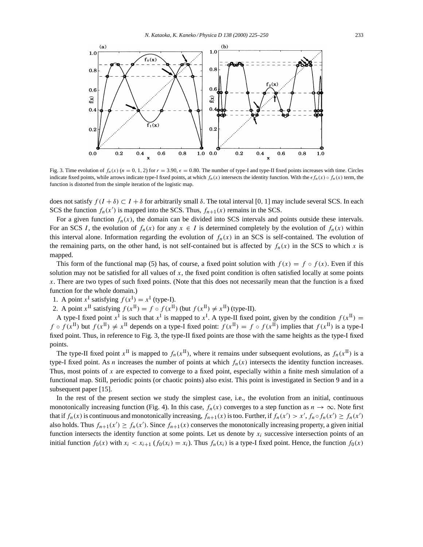

Fig. 3. Time evolution of  $f_n(x)$  ( $n = 0, 1, 2$ ) for  $r = 3.90$ ,  $\epsilon = 0.80$ . The number of type-I and type-II fixed points increases with time. Circles indicate fixed points, while arrows indicate type-I fixed points, at which  $f_n(x)$  intersects the identity function. With the  $\epsilon f_n(x) \circ f_n(x)$  term, the function is distorted from the simple iteration of the logistic map.

does not satisfy  $f(I + \delta) \subset I + \delta$  for arbitrarily small  $\delta$ . The total interval [0, 1] may include several SCS. In each SCS the function  $f_n(x')$  is mapped into the SCS. Thus,  $f_{n+1}(x)$  remains in the SCS.

For a given function  $f_n(x)$ , the domain can be divided into SCS intervals and points outside these intervals. For an SCS I, the evolution of  $f_n(x)$  for any  $x \in I$  is determined completely by the evolution of  $f_n(x)$  within this interval alone. Information regarding the evolution of  $f_n(x)$  in an SCS is self-contained. The evolution of the remaining parts, on the other hand, is not self-contained but is affected by  $f_n(x)$  in the SCS to which x is mapped.

This form of the functional map (5) has, of course, a fixed point solution with  $f(x) = f \circ f(x)$ . Even if this solution may not be satisfied for all values of  $x$ , the fixed point condition is often satisfied locally at some points  $x$ . There are two types of such fixed points. (Note that this does not necessarily mean that the function is a fixed function for the whole domain.)

1. A point  $x^I$  satisfying  $f(x^I) = x^I$  (type-I).

2. A point  $x^{\text{II}}$  satisfying  $f(x^{\text{II}}) = f \circ f(x^{\text{II}})$  (but  $f(x^{\text{II}}) \neq x^{\text{II}}$ ) (type-II).

A type-I fixed point  $x^I$  is such that  $x^I$  is mapped to  $x^I$ . A type-II fixed point, given by the condition  $f(x^II) =$  $f \circ f(x^{II})$  but  $f(x^{II}) \neq x^{II}$  depends on a type-I fixed point:  $f(x^{II}) = f \circ f(x^{II})$  implies that  $f(x^{II})$  is a type-I fixed point. Thus, in reference to Fig. 3, the type-II fixed points are those with the same heights as the type-I fixed points.

The type-II fixed point  $x^{\text{II}}$  is mapped to  $f_n(x^{\text{II}})$ , where it remains under subsequent evolutions, as  $f_n(x^{\text{II}})$  is a type-I fixed point. As n increases the number of points at which  $f_n(x)$  intersects the identity function increases. Thus, most points of  $x$  are expected to converge to a fixed point, especially within a finite mesh simulation of a functional map. Still, periodic points (or chaotic points) also exist. This point is investigated in Section 9 and in a subsequent paper [15].

In the rest of the present section we study the simplest case, i.e., the evolution from an initial, continuous monotonically increasing function (Fig. 4). In this case,  $f_n(x)$  converges to a step function as  $n \to \infty$ . Note first that if  $f_n(x)$  is continuous and monotonically increasing,  $f_{n+1}(x)$  is too. Further, if  $f_n(x') > x'$ ,  $f_n \circ f_n(x') \ge f_n(x')$ also holds. Thus  $f_{n+1}(x') \ge f_n(x')$ . Since  $f_{n+1}(x)$  conserves the monotonically increasing property, a given initial function intersects the identity function at some points. Let us denote by  $x_i$  successive intersection points of an initial function  $f_0(x)$  with  $x_i < x_{i+1}$  ( $f_0(x_i) = x_i$ ). Thus  $f_n(x_i)$  is a type-I fixed point. Hence, the function  $f_0(x)$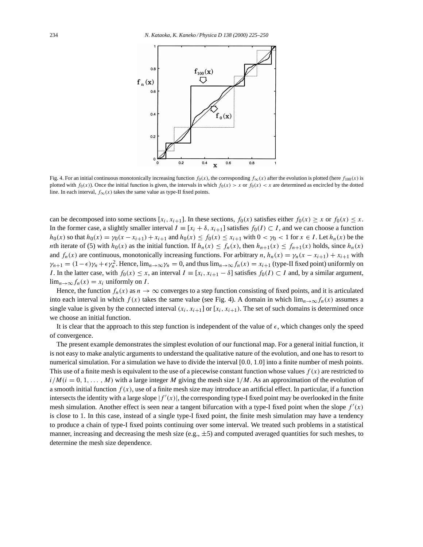

Fig. 4. For an initial continuous monotonically increasing function  $f_0(x)$ , the corresponding  $f_{\infty}(x)$  after the evolution is plotted (here  $f_{100}(x)$  is plotted with  $f_0(x)$ ). Once the initial function is given, the intervals in which  $f_0(x) > x$  or  $f_0(x) < x$  are determined as encircled by the dotted line. In each interval,  $f_{\infty}(x)$  takes the same value as type-II fixed points.

can be decomposed into some sections [x<sub>i</sub>, x<sub>i+1</sub>]. In these sections,  $f_0(x)$  satisfies either  $f_0(x) \ge x$  or  $f_0(x) \le x$ . In the former case, a slightly smaller interval  $I = [x_i + \delta, x_{i+1}]$  satisfies  $f_0(I) \subset I$ , and we can choose a function  $h_0(x)$  so that  $h_0(x) = \gamma_0(x - x_{i+1}) + x_{i+1}$  and  $h_0(x) \le f_0(x) \le x_{i+1}$  with  $0 < \gamma_0 < 1$  for  $x \in I$ . Let  $h_n(x)$  be the nth iterate of (5) with  $h_0(x)$  as the initial function. If  $h_n(x) \le f_n(x)$ , then  $h_{n+1}(x) \le f_{n+1}(x)$  holds, since  $h_n(x)$ and  $f_n(x)$  are continuous, monotonically increasing functions. For arbitrary n,  $h_n(x) = \gamma_n(x - x_{i+1}) + x_{i+1}$  with  $\gamma_{n+1} = (1 - \epsilon)\gamma_n + \epsilon \gamma_n^2$ . Hence,  $\lim_{n \to \infty} \gamma_n = 0$ , and thus  $\lim_{n \to \infty} f_n(x) = x_{i+1}$  (type-II fixed point) uniformly on I. In the latter case, with  $f_0(x) \le x$ , an interval  $I = [x_i, x_{i+1} - \delta]$  satisfies  $f_0(I) \subset I$  and, by a similar argument,  $\lim_{n\to\infty} f_n(x) = x_i$  uniformly on I.

Hence, the function  $f_n(x)$  as  $n \to \infty$  converges to a step function consisting of fixed points, and it is articulated into each interval in which  $f(x)$  takes the same value (see Fig. 4). A domain in which  $\lim_{n\to\infty} f_n(x)$  assumes a single value is given by the connected interval  $(x_i, x_{i+1}]$  or  $[x_i, x_{i+1}]$ . The set of such domains is determined once we choose an initial function.

It is clear that the approach to this step function is independent of the value of  $\epsilon$ , which changes only the speed of convergence.

The present example demonstrates the simplest evolution of our functional map. For a general initial function, it is not easy to make analytic arguments to understand the qualitative nature of the evolution, and one has to resort to numerical simulation. For a simulation we have to divide the interval [0.0, 1.0] into a finite number of mesh points. This use of a finite mesh is equivalent to the use of a piecewise constant function whose values  $f(x)$  are restricted to  $i/M(i = 0, 1, \ldots, M)$  with a large integer M giving the mesh size  $1/M$ . As an approximation of the evolution of a smooth initial function  $f(x)$ , use of a finite mesh size may introduce an artificial effect. In particular, if a function intersects the identity with a large slope  $|f'(x)|$ , the corresponding type-I fixed point may be overlooked in the finite mesh simulation. Another effect is seen near a tangent bifurcation with a type-I fixed point when the slope  $f'(x)$ is close to 1. In this case, instead of a single type-I fixed point, the finite mesh simulation may have a tendency to produce a chain of type-I fixed points continuing over some interval. We treated such problems in a statistical manner, increasing and decreasing the mesh size (e.g.,  $\pm 5$ ) and computed averaged quantities for such meshes, to determine the mesh size dependence.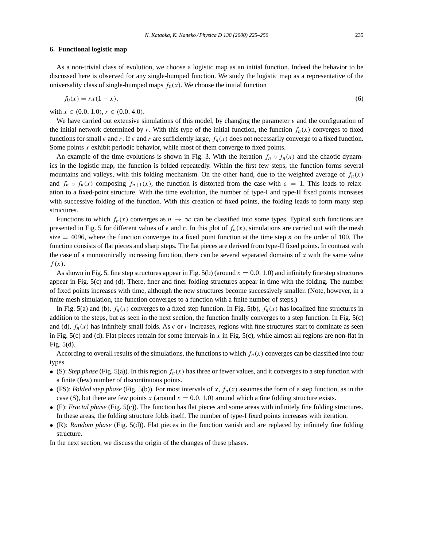#### **6. Functional logistic map**

As a non-trivial class of evolution, we choose a logistic map as an initial function. Indeed the behavior to be discussed here is observed for any single-humped function. We study the logistic map as a representative of the universality class of single-humped maps  $f_0(x)$ . We choose the initial function

$$
f_0(x) = rx(1-x),\tag{6}
$$

with  $x \in (0.0, 1.0), r \in (0.0, 4.0).$ 

We have carried out extensive simulations of this model, by changing the parameter  $\epsilon$  and the configuration of the initial network determined by r. With this type of the initial function, the function  $f_n(x)$  converges to fixed functions for small  $\epsilon$  and r. If  $\epsilon$  and r are sufficiently large,  $f_n(x)$  does not necessarily converge to a fixed function. Some points  $x$  exhibit periodic behavior, while most of them converge to fixed points.

An example of the time evolutions is shown in Fig. 3. With the iteration  $f_n \circ f_n(x)$  and the chaotic dynamics in the logistic map, the function is folded repeatedly. Within the first few steps, the function forms several mountains and valleys, with this folding mechanism. On the other hand, due to the weighted average of  $f_n(x)$ and  $f_n \circ f_n(x)$  composing  $f_{n+1}(x)$ , the function is distorted from the case with  $\epsilon = 1$ . This leads to relaxation to a fixed-point structure. With the time evolution, the number of type-I and type-II fixed points increases with successive folding of the function. With this creation of fixed points, the folding leads to form many step structures.

Functions to which  $f_n(x)$  converges as  $n \to \infty$  can be classified into some types. Typical such functions are presented in Fig. 5 for different values of  $\epsilon$  and r. In this plot of  $f_n(x)$ , simulations are carried out with the mesh size  $=$  4096, where the function converges to a fixed point function at the time step n on the order of 100. The function consists of flat pieces and sharp steps. The flat pieces are derived from type-II fixed points. In contrast with the case of a monotonically increasing function, there can be several separated domains of  $x$  with the same value  $f(x)$ .

As shown in Fig. 5, fine step structures appear in Fig. 5(b) (around  $x = 0.0, 1.0$ ) and infinitely fine step structures appear in Fig. 5(c) and (d). There, finer and finer folding structures appear in time with the folding. The number of fixed points increases with time, although the new structures become successively smaller. (Note, however, in a finite mesh simulation, the function converges to a function with a finite number of steps.)

In Fig. 5(a) and (b),  $f_n(x)$  converges to a fixed step function. In Fig. 5(b),  $f_n(x)$  has localized fine structures in addition to the steps, but as seen in the next section, the function finally converges to a step function. In Fig. 5(c) and (d),  $f_n(x)$  has infinitely small folds. As  $\epsilon$  or r increases, regions with fine structures start to dominate as seen in Fig.  $5(c)$  and (d). Flat pieces remain for some intervals in x in Fig.  $5(c)$ , while almost all regions are non-flat in Fig. 5(d).

According to overall results of the simulations, the functions to which  $f_n(x)$  converges can be classified into four types.

- (S): *Step phase* (Fig. 5(a)). In this region  $f_n(x)$  has three or fewer values, and it converges to a step function with a finite (few) number of discontinuous points.
- (FS): *Folded step phase* (Fig. 5(b)). For most intervals of x,  $f_n(x)$  assumes the form of a step function, as in the case (S), but there are few points x (around  $x = 0.0, 1.0$ ) around which a fine folding structure exists.
- (F): *Fractal phase* (Fig. 5(c)). The function has flat pieces and some areas with infinitely fine folding structures. In these areas, the folding structure folds itself. The number of type-I fixed points increases with iteration.
- (R): *Random phase* (Fig. 5(d)). Flat pieces in the function vanish and are replaced by infinitely fine folding structure.

In the next section, we discuss the origin of the changes of these phases.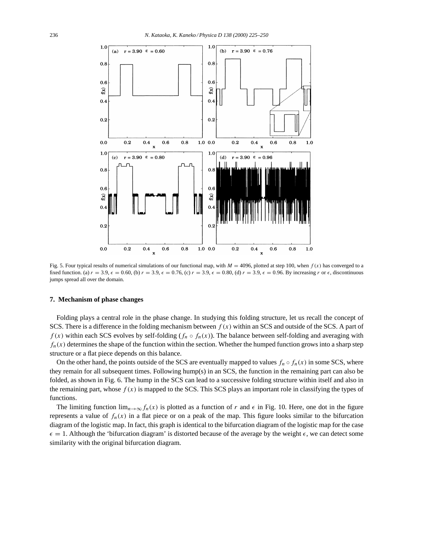

Fig. 5. Four typical results of numerical simulations of our functional map, with  $M = 4096$ , plotted at step 100, when  $f(x)$  has converged to a fixed function. (a)  $r = 3.9$ ,  $\epsilon = 0.60$ , (b)  $r = 3.9$ ,  $\epsilon = 0.76$ , (c)  $r = 3.9$ ,  $\epsilon = 0.80$ , (d)  $r = 3.9$ ,  $\epsilon = 0.96$ . By increasing r or  $\epsilon$ , discontinuous jumps spread all over the domain.

#### **7. Mechanism of phase changes**

Folding plays a central role in the phase change. In studying this folding structure, let us recall the concept of SCS. There is a difference in the folding mechanism between  $f(x)$  within an SCS and outside of the SCS. A part of  $f(x)$  within each SCS evolves by self-folding ( $f_n \circ f_n(x)$ ). The balance between self-folding and averaging with  $f_n(x)$  determines the shape of the function within the section. Whether the humped function grows into a sharp step structure or a flat piece depends on this balance.

On the other hand, the points outside of the SCS are eventually mapped to values  $f_n \circ f_n(x)$  in some SCS, where they remain for all subsequent times. Following hump(s) in an SCS, the function in the remaining part can also be folded, as shown in Fig. 6. The hump in the SCS can lead to a successive folding structure within itself and also in the remaining part, whose  $f(x)$  is mapped to the SCS. This SCS plays an important role in classifying the types of functions.

The limiting function  $\lim_{n\to\infty} f_n(x)$  is plotted as a function of r and  $\epsilon$  in Fig. 10. Here, one dot in the figure represents a value of  $f_n(x)$  in a flat piece or on a peak of the map. This figure looks similar to the bifurcation diagram of the logistic map. In fact, this graph is identical to the bifurcation diagram of the logistic map for the case  $\epsilon = 1$ . Although the 'bifurcation diagram' is distorted because of the average by the weight  $\epsilon$ , we can detect some similarity with the original bifurcation diagram.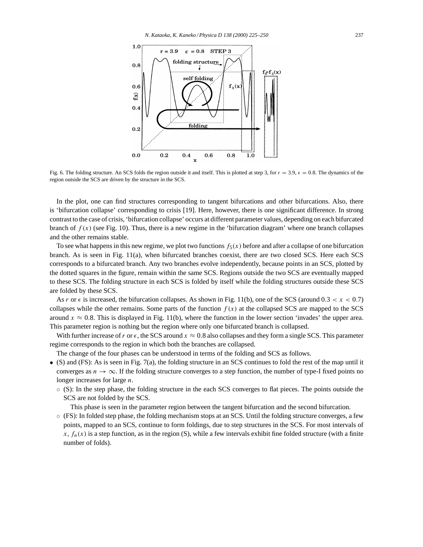

Fig. 6. The folding structure. An SCS folds the region outside it and itself. This is plotted at step 3, for  $r = 3.9$ ,  $\epsilon = 0.8$ . The dynamics of the region outside the SCS are driven by the structure in the SCS.

In the plot, one can find structures corresponding to tangent bifurcations and other bifurcations. Also, there is 'bifurcation collapse' corresponding to crisis [19]. Here, however, there is one significant difference. In strong contrast to the case of crisis, 'bifurcation collapse' occurs at different parameter values, depending on each bifurcated branch of  $f(x)$  (see Fig. 10). Thus, there is a new regime in the 'bifurcation diagram' where one branch collapses and the other remains stable.

To see what happens in this new regime, we plot two functions  $f_5(x)$  before and after a collapse of one bifurcation branch. As is seen in Fig. 11(a), when bifurcated branches coexist, there are two closed SCS. Here each SCS corresponds to a bifurcated branch. Any two branches evolve independently, because points in an SCS, plotted by the dotted squares in the figure, remain within the same SCS. Regions outside the two SCS are eventually mapped to these SCS. The folding structure in each SCS is folded by itself while the folding structures outside these SCS are folded by these SCS.

As r or  $\epsilon$  is increased, the bifurcation collapses. As shown in Fig. 11(b), one of the SCS (around 0.3  $\lt x \lt 0.7$ ) collapses while the other remains. Some parts of the function  $f(x)$  at the collapsed SCS are mapped to the SCS around  $x \approx 0.8$ . This is displayed in Fig. 11(b), where the function in the lower section 'invades' the upper area. This parameter region is nothing but the region where only one bifurcated branch is collapsed.

With further increase of r or  $\epsilon$ , the SCS around  $x \approx 0.8$  also collapses and they form a single SCS. This parameter regime corresponds to the region in which both the branches are collapsed.

The change of the four phases can be understood in terms of the folding and SCS as follows.

- (S) and (FS): As is seen in Fig. 7(a), the folding structure in an SCS continues to fold the rest of the map until it converges as  $n \to \infty$ . If the folding structure converges to a step function, the number of type-I fixed points no longer increases for large *n*.
	- (S): In the step phase, the folding structure in the each SCS converges to flat pieces. The points outside the SCS are not folded by the SCS.

This phase is seen in the parameter region between the tangent bifurcation and the second bifurcation.

◦ (FS): In folded step phase, the folding mechanism stops at an SCS. Until the folding structure converges, a few points, mapped to an SCS, continue to form foldings, due to step structures in the SCS. For most intervals of  $x, f_n(x)$  is a step function, as in the region (S), while a few intervals exhibit fine folded structure (with a finite number of folds).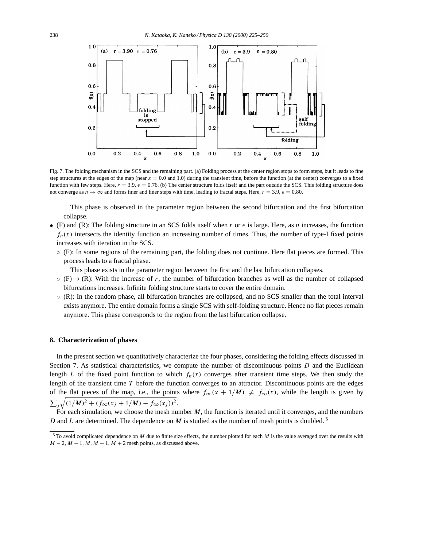

Fig. 7. The folding mechanism in the SCS and the remaining part. (a) Folding process at the center region stops to form steps, but it leads to fine step structures at the edges of the map (near  $x = 0.0$  and 1.0) during the transient time, before the function (at the center) converges to a fixed function with few steps. Here,  $r = 3.9$ ,  $\epsilon = 0.76$ . (b) The center structure folds itself and the part outside the SCS. This folding structure does not converge as  $n \to \infty$  and forms finer and finer steps with time, leading to fractal steps. Here,  $r = 3.9$ ,  $\epsilon = 0.80$ .

This phase is observed in the parameter region between the second bifurcation and the first bifurcation collapse.

- (F) and (R): The folding structure in an SCS folds itself when r or  $\epsilon$  is large. Here, as n increases, the function  $f_n(x)$  intersects the identity function an increasing number of times. Thus, the number of type-I fixed points increases with iteration in the SCS.
	- (F): In some regions of the remaining part, the folding does not continue. Here flat pieces are formed. This process leads to a fractal phase.

This phase exists in the parameter region between the first and the last bifurcation collapses.

- $\circ$  (F)  $\rightarrow$  (R): With the increase of r, the number of bifurcation branches as well as the number of collapsed bifurcations increases. Infinite folding structure starts to cover the entire domain.
- (R): In the random phase, all bifurcation branches are collapsed, and no SCS smaller than the total interval exists anymore. The entire domain forms a single SCS with self-folding structure. Hence no flat pieces remain anymore. This phase corresponds to the region from the last bifurcation collapse.

## **8. Characterization of phases**

In the present section we quantitatively characterize the four phases, considering the folding effects discussed in Section 7. As statistical characteristics, we compute the number of discontinuous points D and the Euclidean length L of the fixed point function to which  $f_n(x)$  converges after transient time steps. We then study the length of the transient time  $T$  before the function converges to an attractor. Discontinuous points are the edges of the flat pieces of the map, i.e., the points where  $f_{\infty}(x + 1/M) \neq f_{\infty}(x)$ , while the length is given by  $\sum_j \sqrt{(1/M)^2 + (f_\infty(x_j + 1/M) - f_\infty(x_j))^2}.$ 

For each simulation, we choose the mesh number  $M$ , the function is iterated until it converges, and the numbers D and L are determined. The dependence on M is studied as the number of mesh points is doubled.<sup>5</sup>

 $5$  To avoid complicated dependence on M due to finite size effects, the number plotted for each M is the value averaged over the results with  $M-2$ ,  $M-1$ ,  $M$ ,  $M+1$ ,  $M+2$  mesh points, as discussed above.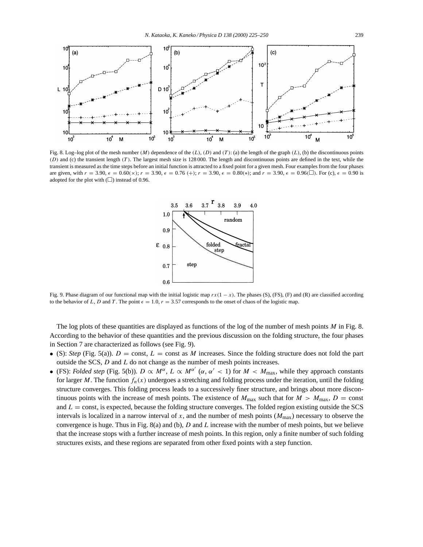

Fig. 8. Log–log plot of the mesh number (M) dependence of the  $(L)$ ,  $(D)$  and  $(T)$ : (a) the length of the graph  $(L)$ , (b) the discontinuous points (D) and (c) the transient length (T). The largest mesh size is 128 000. The length and discontinuous points are defined in the text, while the transient is measured as the time steps before an initial function is attracted to a fixed point for a given mesh. Four examples from the four phases are given, with  $r = 3.90$ ,  $\epsilon = 0.60(x)$ ;  $r = 3.90$ ,  $\epsilon = 0.76$  (+);  $r = 3.90$ ,  $\epsilon = 0.80(*)$ ; and  $r = 3.90$ ,  $\epsilon = 0.96$ ( $\Box$ ). For (c),  $\epsilon = 0.90$  is adopted for the plot with  $\Box$ ) instead of 0.96.



Fig. 9. Phase diagram of our functional map with the initial logistic map  $rx(1 - x)$ . The phases (S), (FS), (F) and (R) are classified according to the behavior of L, D and T. The point  $\epsilon = 1.0$ ,  $r = 3.57$  corresponds to the onset of chaos of the logistic map.

The log plots of these quantities are displayed as functions of the log of the number of mesh points  $M$  in Fig. 8. According to the behavior of these quantities and the previous discussion on the folding structure, the four phases in Section 7 are characterized as follows (see Fig. 9).

- (S): *Step* (Fig. 5(a)).  $D = \text{const}$ ,  $L = \text{const}$  as M increases. Since the folding structure does not fold the part outside the SCS,  $D$  and  $L$  do not change as the number of mesh points increases.
- (FS): *Folded step* (Fig. 5(b)).  $D \propto M^{\alpha}$ ,  $L \propto M^{\alpha'}$  ( $\alpha, \alpha' < 1$ ) for  $M < M_{\text{max}}$ , while they approach constants for larger M. The function  $f_n(x)$  undergoes a stretching and folding process under the iteration, until the folding structure converges. This folding process leads to a successively finer structure, and brings about more discontinuous points with the increase of mesh points. The existence of  $M_{\text{max}}$  such that for  $M > M_{\text{max}}$ ,  $D = \text{const}$ and  $L = \text{const}$ , is expected, because the folding structure converges. The folded region existing outside the SCS intervals is localized in a narrow interval of x, and the number of mesh points  $(M_{\text{max}})$  necessary to observe the convergence is huge. Thus in Fig. 8(a) and (b),  $D$  and  $L$  increase with the number of mesh points, but we believe that the increase stops with a further increase of mesh points. In this region, only a finite number of such folding structures exists, and these regions are separated from other fixed points with a step function.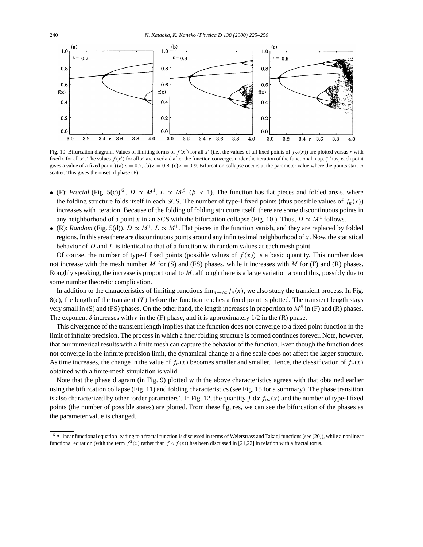

Fig. 10. Bifurcation diagram. Values of limiting forms of  $f(x')$  for all  $x'$  (i.e., the values of all fixed points of  $f_{\infty}(x)$ ) are plotted versus r with fixed  $\epsilon$  for all x'. The values  $f(x')$  for all x' are overlaid after the function converges under the iteration of the functional map. (Thus, each point gives a value of a fixed point.) (a)  $\epsilon = 0.7$ , (b)  $\epsilon = 0.8$ , (c)  $\epsilon = 0.9$ . Bifurcation collapse occurs at the parameter value where the points start to scatter. This gives the onset of phase  $(F)$ .

- (F): *Fractal* (Fig. 5(c))<sup>6</sup>.  $D \propto M^1$ ,  $L \propto M^{\beta}$  ( $\beta < 1$ ). The function has flat pieces and folded areas, where the folding structure folds itself in each SCS. The number of type-I fixed points (thus possible values of  $f_n(x)$ ) increases with iteration. Because of the folding of folding structure itself, there are some discontinuous points in any neighborhood of a point x in an SCS with the bifurcation collapse (Fig. 10). Thus,  $D \propto M^1$  follows.
- (R): *Random* (Fig. 5(d)).  $D \propto M^1$ ,  $L \propto M^1$ . Flat pieces in the function vanish, and they are replaced by folded regions. In this area there are discontinuous points around any infinitesimal neighborhood of  $x$ . Now, the statistical behavior of  $D$  and  $L$  is identical to that of a function with random values at each mesh point.

Of course, the number of type-I fixed points (possible values of  $f(x)$ ) is a basic quantity. This number does not increase with the mesh number M for  $(S)$  and  $(FS)$  phases, while it increases with M for  $(F)$  and  $(R)$  phases. Roughly speaking, the increase is proportional to M, although there is a large variation around this, possibly due to some number theoretic complication.

In addition to the characteristics of limiting functions  $\lim_{n\to\infty} f_n(x)$ , we also study the transient process. In Fig.  $8(c)$ , the length of the transient (T) before the function reaches a fixed point is plotted. The transient length stays very small in (S) and (FS) phases. On the other hand, the length increases in proportion to  $M^{\delta}$  in (F) and (R) phases. The exponent  $\delta$  increases with r in the (F) phase, and it is approximately 1/2 in the (R) phase.

This divergence of the transient length implies that the function does not converge to a fixed point function in the limit of infinite precision. The process in which a finer folding structure is formed continues forever. Note, however, that our numerical results with a finite mesh can capture the behavior of the function. Even though the function does not converge in the infinite precision limit, the dynamical change at a fine scale does not affect the larger structure. As time increases, the change in the value of  $f_n(x)$  becomes smaller and smaller. Hence, the classification of  $f_n(x)$ obtained with a finite-mesh simulation is valid.

Note that the phase diagram (in Fig. 9) plotted with the above characteristics agrees with that obtained earlier using the bifurcation collapse (Fig. 11) and folding characteristics (see Fig. 15 for a summary). The phase transition is also characterized by other 'order parameters'. In Fig. 12, the quantity  $\int dx f_\infty(x)$  and the number of type-I fixed points (the number of possible states) are plotted. From these figures, we can see the bifurcation of the phases as the parameter value is changed.

 $6$  A linear functional equation leading to a fractal function is discussed in terms of Weierstrass and Takagi functions (see [20]), while a nonlinear functional equation (with the term  $f^2(x)$  rather than  $f \circ f(x)$ ) has been discussed in [21,22] in relation with a fractal torus.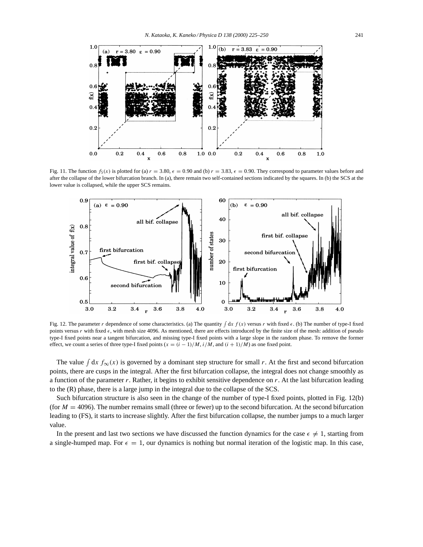

Fig. 11. The function  $f_5(x)$  is plotted for (a)  $r = 3.80$ ,  $\epsilon = 0.90$  and (b)  $r = 3.83$ ,  $\epsilon = 0.90$ . They correspond to parameter values before and after the collapse of the lower bifurcation branch. In (a), there remain two self-contained sections indicated by the squares. In (b) the SCS at the lower value is collapsed, while the upper SCS remains.



Fig. 12. The parameter r dependence of some characteristics. (a) The quantity  $\int dx f(x)$  versus r with fixed  $\epsilon$ . (b) The number of type-I fixed points versus r with fixed  $\epsilon$ , with mesh size 4096. As mentioned, there are effects introduced by the finite size of the mesh: addition of pseudo type-I fixed points near a tangent bifurcation, and missing type-I fixed points with a large slope in the random phase. To remove the former effect, we count a series of three type-I fixed points  $(x = (i - 1)/M, i/M,$  and  $(i + 1)/M)$  as one fixed point.

The value  $\int dx f_{\infty}(x)$  is governed by a dominant step structure for small r. At the first and second bifurcation points, there are cusps in the integral. After the first bifurcation collapse, the integral does not change smoothly as a function of the parameter  $r$ . Rather, it begins to exhibit sensitive dependence on  $r$ . At the last bifurcation leading to the (R) phase, there is a large jump in the integral due to the collapse of the SCS.

Such bifurcation structure is also seen in the change of the number of type-I fixed points, plotted in Fig. 12(b) (for  $M = 4096$ ). The number remains small (three or fewer) up to the second bifurcation. At the second bifurcation leading to (FS), it starts to increase slightly. After the first bifurcation collapse, the number jumps to a much larger value.

In the present and last two sections we have discussed the function dynamics for the case  $\epsilon \neq 1$ , starting from a single-humped map. For  $\epsilon = 1$ , our dynamics is nothing but normal iteration of the logistic map. In this case,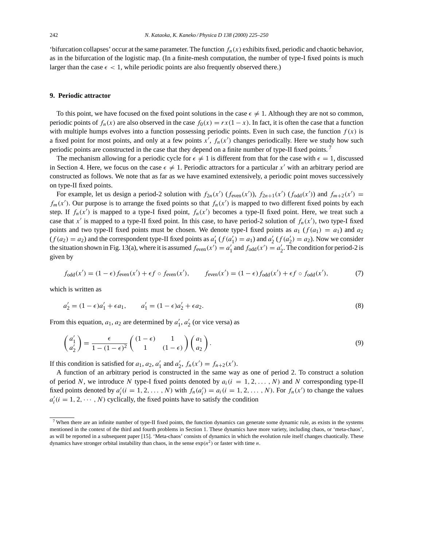'bifurcation collapses' occur at the same parameter. The function  $f_n(x)$  exhibits fixed, periodic and chaotic behavior, as in the bifurcation of the logistic map. (In a finite-mesh computation, the number of type-I fixed points is much larger than the case  $\epsilon$  < 1, while periodic points are also frequently observed there.)

#### **9. Periodic attractor**

To this point, we have focused on the fixed point solutions in the case  $\epsilon \neq 1$ . Although they are not so common, periodic points of  $f_n(x)$  are also observed in the case  $f_0(x) = rx(1-x)$ . In fact, it is often the case that a function with multiple humps evolves into a function possessing periodic points. Even in such case, the function  $f(x)$  is a fixed point for most points, and only at a few points  $x'$ ,  $f_n(x')$  changes periodically. Here we study how such periodic points are constructed in the case that they depend on a finite number of type-II fixed points.<sup>7</sup>

The mechanism allowing for a periodic cycle for  $\epsilon \neq 1$  is different from that for the case with  $\epsilon = 1$ , discussed in Section 4. Here, we focus on the case  $\epsilon \neq 1$ . Periodic attractors for a particular x' with an arbitrary period are constructed as follows. We note that as far as we have examined extensively, a periodic point moves successively on type-II fixed points.

For example, let us design a period-2 solution with  $f_{2n}(x')$  ( $f_{even}(x')$ ),  $f_{2n+1}(x')$  ( $f_{odd}(x')$ ) and  $f_{m+2}(x')$  =  $f_m(x')$ . Our purpose is to arrange the fixed points so that  $f_n(x')$  is mapped to two different fixed points by each step. If  $f_n(x')$  is mapped to a type-I fixed point,  $f_n(x')$  becomes a type-II fixed point. Here, we treat such a case that  $x'$  is mapped to a type-II fixed point. In this case, to have period-2 solution of  $f_n(x')$ , two type-I fixed points and two type-II fixed points must be chosen. We denote type-I fixed points as  $a_1$  ( $f(a_1) = a_1$ ) and  $a_2$  $(f(a_2) = a_2)$  and the correspondent type-II fixed points as  $a'_1$   $(f(a'_1) = a_1)$  and  $a'_2$   $(f(a'_2) = a_2)$ . Now we consider the situation shown in Fig. 13(a), where it is assumed  $f_{even}(x') = a'_1$  and  $f_{odd}(x') = a'_2$ . The condition for period-2 is given by

$$
f_{\text{odd}}(x') = (1 - \epsilon)f_{\text{even}}(x') + \epsilon f \circ f_{\text{even}}(x'), \qquad f_{\text{even}}(x') = (1 - \epsilon)f_{\text{odd}}(x') + \epsilon f \circ f_{\text{odd}}(x'), \tag{7}
$$

which is written as

$$
a'_2 = (1 - \epsilon)a'_1 + \epsilon a_1, \qquad a'_1 = (1 - \epsilon)a'_2 + \epsilon a_2.
$$
 (8)

From this equation,  $a_1$ ,  $a_2$  are determined by  $a'_1$ ,  $a'_2$  (or vice versa) as

$$
\begin{pmatrix} a'_1 \\ a'_2 \end{pmatrix} = \frac{\epsilon}{1 - (1 - \epsilon)^2} \begin{pmatrix} (1 - \epsilon) & 1 \\ 1 & (1 - \epsilon) \end{pmatrix} \begin{pmatrix} a_1 \\ a_2 \end{pmatrix}.
$$
 (9)

If this condition is satisfied for  $a_1$ ,  $a_2$ ,  $a'_1$  and  $a'_2$ ,  $f_n(x') = f_{n+2}(x')$ .

A function of an arbitrary period is constructed in the same way as one of period 2. To construct a solution of period N, we introduce N type-I fixed points denoted by  $a_i(i = 1, 2, ..., N)$  and N corresponding type-II fixed points denoted by  $a'_i(i = 1, 2, ..., N)$  with  $f_n(a'_i) = a_i(i = 1, 2, ..., N)$ . For  $f_n(x')$  to change the values  $a_i'(i = 1, 2, \dots, N)$  cyclically, the fixed points have to satisfy the condition

<sup>&</sup>lt;sup>7</sup> When there are an infinite number of type-II fixed points, the function dynamics can generate some dynamic rule, as exists in the systems mentioned in the context of the third and fourth problems in Section 1. These dynamics have more variety, including chaos, or 'meta-chaos', as will be reported in a subsequent paper [15]. 'Meta-chaos' consists of dynamics in which the evolution rule itself changes chaotically. These dynamics have stronger orbital instability than chaos, in the sense  $\exp(n^2)$  or faster with time n.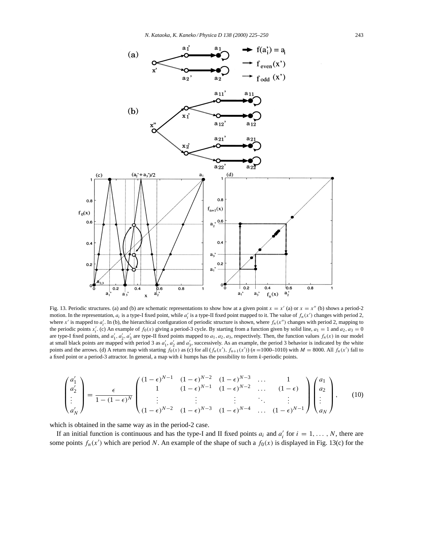

Fig. 13. Periodic structures. (a) and (b) are schematic representations to show how at a given point  $x = x'$  (a) or  $x = x''$  (b) shows a period-2 motion. In the representation,  $a_i$  is a type-I fixed point, while  $a'_i$  is a type-II fixed point mapped to it. The value of  $f_n(x')$  changes with period 2, where x' is mapped to  $a'_i$ . In (b), the hierarchical configuration of periodic structure is shown, where  $f_n(x'')$  changes with period 2, mapping to the periodic points  $x'_i$ . (c) An example of  $f_0(x)$  giving a period-3 cycle. By starting from a function given by solid line,  $a_1 = 1$  and  $a_2$ ,  $a_3 = 0$ are type-I fixed points, and  $a'_1, a'_2, a'_3$  are type-II fixed points mapped to  $a_1, a_2, a_3$ , respectively. Then, the function values  $f_n(x)$  in our model at small black points are mapped with period 3 as  $a'_1$ ,  $a'_2$  and  $a'_3$ , successively. As an example, the period 3 behavior is indicated by the white points and the arrows. (d) A return map with starting  $f_0(x)$  as (c) for all  $(f_n(x'), f_{n+1}(x'))$   $(n = 1000-1010)$  with  $M = 8000$ . All  $f_n(x')$  fall to a fixed point or a period-3 attractor. In general, a map with k humps has the possibility to form k-periodic points.

$$
\begin{pmatrix} a'_1 \\ a'_2 \\ \vdots \\ a'_N \end{pmatrix} = \frac{\epsilon}{1 - (1 - \epsilon)^N} \begin{pmatrix} (1 - \epsilon)^{N-1} & (1 - \epsilon)^{N-2} & (1 - \epsilon)^{N-3} & \dots & 1 \\ 1 & (1 - \epsilon)^{N-1} & (1 - \epsilon)^{N-2} & \dots & (1 - \epsilon) \\ \vdots & \vdots & \vdots & \ddots & \vdots \\ (1 - \epsilon)^{N-2} & (1 - \epsilon)^{N-3} & (1 - \epsilon)^{N-4} & \dots & (1 - \epsilon)^{N-1} \end{pmatrix} \begin{pmatrix} a_1 \\ a_2 \\ \vdots \\ a_N \end{pmatrix}, \qquad (10)
$$

which is obtained in the same way as in the period-2 case.

If an initial function is continuous and has the type-I and II fixed points  $a_i$  and  $a'_i$  for  $i = 1, ..., N$ , there are some points  $f_n(x')$  which are period N. An example of the shape of such a  $f_0(x)$  is displayed in Fig. 13(c) for the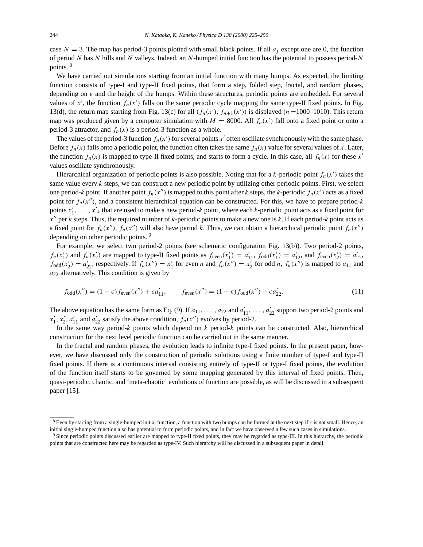case  $N = 3$ . The map has period-3 points plotted with small black points. If all  $a_i$  except one are 0, the function of period  $N$  has  $N$  hills and  $N$  valleys. Indeed, an  $N$ -humped initial function has the potential to possess period- $N$ points. <sup>8</sup>

We have carried out simulations starting from an initial function with many humps. As expected, the limiting function consists of type-I and type-II fixed points, that form a step, folded step, fractal, and random phases, depending on  $\epsilon$  and the height of the humps. Within these structures, periodic points are embedded. For several values of x', the function  $f_n(x')$  falls on the same periodic cycle mapping the same type-II fixed points. In Fig. 13(d), the return map starting from Fig. 13(c) for all  $(f_n(x'), f_{n+1}(x'))$  is displayed  $(n = 1000-1010)$ . This return map was produced given by a computer simulation with  $M = 8000$ . All  $f_n(x')$  fall onto a fixed point or onto a period-3 attractor, and  $f_n(x)$  is a period-3 function as a whole.

The values of the period-3 function  $f_n(x')$  for several points  $x'$  often oscillate synchronously with the same phase. Before  $f_n(x)$  falls onto a periodic point, the function often takes the same  $f_n(x)$  value for several values of x. Later, the function  $f_n(x)$  is mapped to type-II fixed points, and starts to form a cycle. In this case, all  $f_n(x)$  for these x' values oscillate synchronously.

Hierarchical organization of periodic points is also possible. Noting that for a k-periodic point  $f_n(x')$  takes the same value every  $k$  steps, we can construct a new periodic point by utilizing other periodic points. First, we select one period-k point. If another point  $f_n(x'')$  is mapped to this point after k steps, the k-periodic  $f_n(x')$  acts as a fixed point for  $f_n(x'')$ , and a consistent hierarchical equation can be constructed. For this, we have to prepare period-k points  $x'_1, \ldots, x'_k$  that are used to make a new period-k point, where each k-periodic point acts as a fixed point for  $x''$  per k steps. Thus, the required number of k-periodic points to make a new one is k. If each period-k point acts as a fixed point for  $f_n(x'')$ ,  $f_n(x'')$  will also have period k. Thus, we can obtain a hierarchical periodic point  $f_n(x'')$ depending on other periodic points.<sup>9</sup>

For example, we select two period-2 points (see schematic configuration Fig. 13(b)). Two period-2 points,  $f_n(x_1')$  and  $f_n(x_2')$  are mapped to type-II fixed points as  $f_{even}(x_1') = a_{11}', f_{odd}(x_1') = a_{12}',$  and  $f_{even}(x_2') = a_{21}',$  $f_{odd}(x'_2) = a'_{22}$ , respectively. If  $f_n(x'') = x'_1$  for even n and  $f_n(x'') = x'_2$  for odd n,  $f_n(x'')$  is mapped to  $a_{11}$  and  $a_{22}$  alternatively. This condition is given by

$$
f_{\text{odd}}(x'') = (1 - \epsilon) f_{\text{even}}(x'') + \epsilon a'_{11}, \qquad f_{\text{even}}(x'') = (1 - \epsilon) f_{\text{odd}}(x'') + \epsilon a'_{22}.
$$
 (11)

The above equation has the same form as Eq. (9). If  $a_{11}, \ldots, a_{22}$  and  $a'_{11}, \ldots, a'_{22}$  support two period-2 points and  $x'_1$ ,  $x'_2$ ,  $a'_{11}$  and  $a'_{22}$  satisfy the above condition,  $f_n(x'')$  evolves by period-2.

In the same way period- $k$  points which depend on  $k$  period- $k$  points can be constructed. Also, hierarchical construction for the next level periodic function can be carried out in the same manner.

In the fractal and random phases, the evolution leads to infinite type-I fixed points. In the present paper, however, we have discussed only the construction of periodic solutions using a finite number of type-I and type-II fixed points. If there is a continuous interval consisting entirely of type-II or type-I fixed points, the evolution of the function itself starts to be governed by some mapping generated by this interval of fixed points. Then, quasi-periodic, chaotic, and 'meta-chaotic' evolutions of function are possible, as will be discussed in a subsequent paper [15].

<sup>&</sup>lt;sup>8</sup> Even by starting from a single-humped initial function, a function with two humps can be formed at the next step if  $\epsilon$  is not small. Hence, an initial single-humped function also has potential to form periodic points, and in fact we have observed a few such cases in simulations.

<sup>&</sup>lt;sup>9</sup> Since periodic points discussed earlier are mapped to type-II fixed points, they may be regarded as type-III. In this hierarchy, the periodic points that are constructed here may be regarded as type-IV. Such hierarchy will be discussed in a subsequent paper in detail.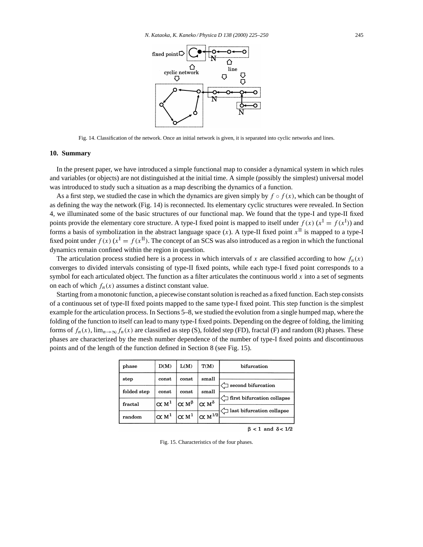

Fig. 14. Classification of the network. Once an initial network is given, it is separated into cyclic networks and lines.

#### **10. Summary**

In the present paper, we have introduced a simple functional map to consider a dynamical system in which rules and variables (or objects) are not distinguished at the initial time. A simple (possibly the simplest) universal model was introduced to study such a situation as a map describing the dynamics of a function.

As a first step, we studied the case in which the dynamics are given simply by  $f \circ f(x)$ , which can be thought of as defining the way the network (Fig. 14) is reconnected. Its elementary cyclic structures were revealed. In Section 4, we illuminated some of the basic structures of our functional map. We found that the type-I and type-II fixed points provide the elementary core structure. A type-I fixed point is mapped to itself under  $f(x)$  ( $x^I = f(x^I)$ ) and forms a basis of symbolization in the abstract language space  $(x)$ . A type-II fixed point  $x^{\text{II}}$  is mapped to a type-I fixed point under  $f(x)$  ( $x^I = f(x^II)$ ). The concept of an SCS was also introduced as a region in which the functional dynamics remain confined within the region in question.

The articulation process studied here is a process in which intervals of x are classified according to how  $f_n(x)$ converges to divided intervals consisting of type-II fixed points, while each type-I fixed point corresponds to a symbol for each articulated object. The function as a filter articulates the continuous world  $x$  into a set of segments on each of which  $f_n(x)$  assumes a distinct constant value.

Starting from a monotonic function, a piecewise constant solution is reached as a fixed function. Each step consists of a continuous set of type-II fixed points mapped to the same type-I fixed point. This step function is the simplest example for the articulation process. In Sections 5–8, we studied the evolution from a single humped map, where the folding of the function to itself can lead to many type-I fixed points. Depending on the degree of folding, the limiting forms of  $f_n(x)$ ,  $\lim_{n\to\infty} f_n(x)$  are classified as step (S), folded step (FD), fractal (F) and random (R) phases. These phases are characterized by the mesh number dependence of the number of type-I fixed points and discontinuous points and of the length of the function defined in Section 8 (see Fig. 15).

| $_{\bf phase}$ | D(M)          | L(M)               | T(M)                   | bifurcation                         |
|----------------|---------------|--------------------|------------------------|-------------------------------------|
| step           | const         | const              | small                  | second bifurcation                  |
| folded step    | const         | const              | small                  |                                     |
| fractal        | $\propto M^1$ | $\alpha M^{\beta}$ | $\sigma$ M $^{\delta}$ | $\Box$ first bifurcation collapse   |
| random         | $\propto M^1$ | $\sigma$ м $^1$    | $\sigma M^{1/2}$       | $\supset$ last bifurcation collapse |

 $\beta$  < 1 and  $\delta$  < 1/2

Fig. 15. Characteristics of the four phases.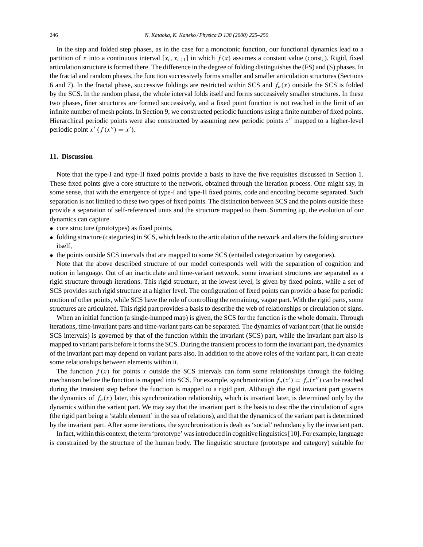In the step and folded step phases, as in the case for a monotonic function, our functional dynamics lead to a partition of x into a continuous interval  $[x_i, x_{i+1}]$  in which  $f(x)$  assumes a constant value (const<sub>i</sub>). Rigid, fixed articulation structure is formed there. The difference in the degree of folding distinguishes the (FS) and (S) phases. In the fractal and random phases, the function successively forms smaller and smaller articulation structures (Sections 6 and 7). In the fractal phase, successive foldings are restricted within SCS and  $f_n(x)$  outside the SCS is folded by the SCS. In the random phase, the whole interval folds itself and forms successively smaller structures. In these two phases, finer structures are formed successively, and a fixed point function is not reached in the limit of an infinite number of mesh points. In Section 9, we constructed periodic functions using a finite number of fixed points. Hierarchical periodic points were also constructed by assuming new periodic points  $x''$  mapped to a higher-level periodic point  $x'$   $(f(x'') = x')$ .

## **11. Discussion**

Note that the type-I and type-II fixed points provide a basis to have the five requisites discussed in Section 1. These fixed points give a core structure to the network, obtained through the iteration process. One might say, in some sense, that with the emergence of type-I and type-II fixed points, code and encoding become separated. Such separation is not limited to these two types of fixed points. The distinction between SCS and the points outside these provide a separation of self-referenced units and the structure mapped to them. Summing up, the evolution of our dynamics can capture

- core structure (prototypes) as fixed points,
- folding structure (categories) in SCS, which leads to the articulation of the network and alters the folding structure itself,
- the points outside SCS intervals that are mapped to some SCS (entailed categorization by categories).

Note that the above described structure of our model corresponds well with the separation of cognition and notion in language. Out of an inarticulate and time-variant network, some invariant structures are separated as a rigid structure through iterations. This rigid structure, at the lowest level, is given by fixed points, while a set of SCS provides such rigid structure at a higher level. The configuration of fixed points can provide a base for periodic motion of other points, while SCS have the role of controlling the remaining, vague part. With the rigid parts, some structures are articulated. This rigid part provides a basis to describe the web of relationships or circulation of signs.

When an initial function (a single-humped map) is given, the SCS for the function is the whole domain. Through iterations, time-invariant parts and time-variant parts can be separated. The dynamics of variant part (that lie outside SCS intervals) is governed by that of the function within the invariant (SCS) part, while the invariant part also is mapped to variant parts before it forms the SCS. During the transient process to form the invariant part, the dynamics of the invariant part may depend on variant parts also. In addition to the above roles of the variant part, it can create some relationships between elements within it.

The function  $f(x)$  for points x outside the SCS intervals can form some relationships through the folding mechanism before the function is mapped into SCS. For example, synchronization  $f_n(x') = f_n(x'')$  can be reached during the transient step before the function is mapped to a rigid part. Although the rigid invariant part governs the dynamics of  $f_n(x)$  later, this synchronization relationship, which is invariant later, is determined only by the dynamics within the variant part. We may say that the invariant part is the basis to describe the circulation of signs (the rigid part being a 'stable element' in the sea of relations), and that the dynamics of the variant part is determined by the invariant part. After some iterations, the synchronization is dealt as 'social' redundancy by the invariant part.

In fact, within this context, the term 'prototype' was introduced in cognitive linguistics [10]. For example, language is constrained by the structure of the human body. The linguistic structure (prototype and category) suitable for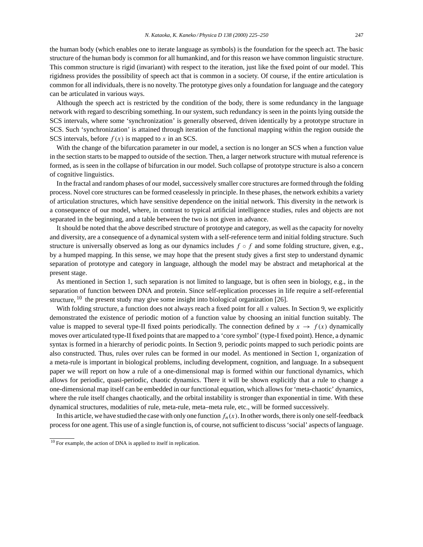the human body (which enables one to iterate language as symbols) is the foundation for the speech act. The basic structure of the human body is common for all humankind, and for this reason we have common linguistic structure. This common structure is rigid (invariant) with respect to the iteration, just like the fixed point of our model. This rigidness provides the possibility of speech act that is common in a society. Of course, if the entire articulation is common for all individuals, there is no novelty. The prototype gives only a foundation for language and the category can be articulated in various ways.

Although the speech act is restricted by the condition of the body, there is some redundancy in the language network with regard to describing something. In our system, such redundancy is seen in the points lying outside the SCS intervals, where some 'synchronization' is generally observed, driven identically by a prototype structure in SCS. Such 'synchronization' is attained through iteration of the functional mapping within the region outside the SCS intervals, before  $f(x)$  is mapped to x in an SCS.

With the change of the bifurcation parameter in our model, a section is no longer an SCS when a function value in the section starts to be mapped to outside of the section. Then, a larger network structure with mutual reference is formed, as is seen in the collapse of bifurcation in our model. Such collapse of prototype structure is also a concern of cognitive linguistics.

In the fractal and random phases of our model, successively smaller core structures are formed through the folding process. Novel core structures can be formed ceaselessly in principle. In these phases, the network exhibits a variety of articulation structures, which have sensitive dependence on the initial network. This diversity in the network is a consequence of our model, where, in contrast to typical artificial intelligence studies, rules and objects are not separated in the beginning, and a table between the two is not given in advance.

It should be noted that the above described structure of prototype and category, as well as the capacity for novelty and diversity, are a consequence of a dynamical system with a self-reference term and initial folding structure. Such structure is universally observed as long as our dynamics includes  $f \circ f$  and some folding structure, given, e.g., by a humped mapping. In this sense, we may hope that the present study gives a first step to understand dynamic separation of prototype and category in language, although the model may be abstract and metaphorical at the present stage.

As mentioned in Section 1, such separation is not limited to language, but is often seen in biology, e.g., in the separation of function between DNA and protein. Since self-replication processes in life require a self-referential structure,  $^{10}$  the present study may give some insight into biological organization [26].

With folding structure, a function does not always reach a fixed point for all  $x$  values. In Section 9, we explicitly demonstrated the existence of periodic motion of a function value by choosing an initial function suitably. The value is mapped to several type-II fixed points periodically. The connection defined by  $x \to f(x)$  dynamically moves over articulated type-II fixed points that are mapped to a 'core symbol' (type-I fixed point). Hence, a dynamic syntax is formed in a hierarchy of periodic points. In Section 9, periodic points mapped to such periodic points are also constructed. Thus, rules over rules can be formed in our model. As mentioned in Section 1, organization of a meta-rule is important in biological problems, including development, cognition, and language. In a subsequent paper we will report on how a rule of a one-dimensional map is formed within our functional dynamics, which allows for periodic, quasi-periodic, chaotic dynamics. There it will be shown explicitly that a rule to change a one-dimensional map itself can be embedded in our functional equation, which allows for 'meta-chaotic' dynamics, where the rule itself changes chaotically, and the orbital instability is stronger than exponential in time. With these dynamical structures, modalities of rule, meta-rule, meta–meta rule, etc., will be formed successively.

In this article, we have studied the case with only one function  $f_n(x)$ . In other words, there is only one self-feedback process for one agent. This use of a single function is, of course, not sufficient to discuss 'social' aspects of language.

<sup>10</sup> For example, the action of DNA is applied to itself in replication.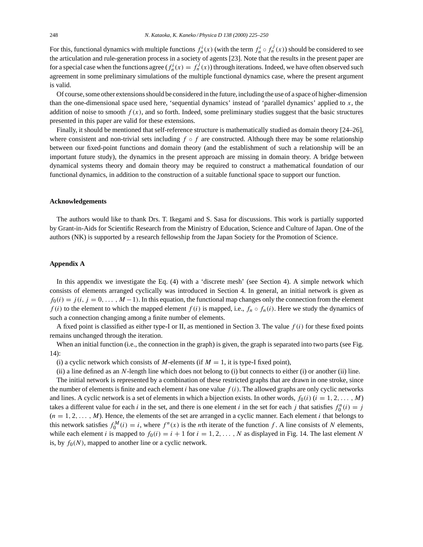For this, functional dynamics with multiple functions  $f_n^i(x)$  (with the term  $f_n^i \circ f_n^j(x)$ ) should be considered to see the articulation and rule-generation process in a society of agents [23]. Note that the results in the present paper are for a special case when the functions agree  $(f_n^i(x) = f_n^j(x))$  through iterations. Indeed, we have often observed such agreement in some preliminary simulations of the multiple functional dynamics case, where the present argument is valid.

Of course, some other extensions should be considered in the future, including the use of a space of higher-dimension than the one-dimensional space used here, 'sequential dynamics' instead of 'parallel dynamics' applied to x, the addition of noise to smooth  $f(x)$ , and so forth. Indeed, some preliminary studies suggest that the basic structures presented in this paper are valid for these extensions.

Finally, it should be mentioned that self-reference structure is mathematically studied as domain theory [24–26], where consistent and non-trivial sets including  $f \circ f$  are constructed. Although there may be some relationship between our fixed-point functions and domain theory (and the establishment of such a relationship will be an important future study), the dynamics in the present approach are missing in domain theory. A bridge between dynamical systems theory and domain theory may be required to construct a mathematical foundation of our functional dynamics, in addition to the construction of a suitable functional space to support our function.

## **Acknowledgements**

The authors would like to thank Drs. T. Ikegami and S. Sasa for discussions. This work is partially supported by Grant-in-Aids for Scientific Research from the Ministry of Education, Science and Culture of Japan. One of the authors (NK) is supported by a research fellowship from the Japan Society for the Promotion of Science.

#### **Appendix A**

In this appendix we investigate the Eq. (4) with a 'discrete mesh' (see Section 4). A simple network which consists of elements arranged cyclically was introduced in Section 4. In general, an initial network is given as  $f_0(i) = j(i, j = 0, \ldots, M-1)$ . In this equation, the functional map changes only the connection from the element  $f(i)$  to the element to which the mapped element  $f(i)$  is mapped, i.e.,  $f_n \circ f_n(i)$ . Here we study the dynamics of such a connection changing among a finite number of elements.

A fixed point is classified as either type-I or II, as mentioned in Section 3. The value  $f(i)$  for these fixed points remains unchanged through the iteration.

When an initial function (i.e., the connection in the graph) is given, the graph is separated into two parts (see Fig. 14):

(i) a cyclic network which consists of M-elements (if  $M = 1$ , it is type-I fixed point),

(ii) a line defined as an  $N$ -length line which does not belong to (i) but connects to either (i) or another (ii) line.

The initial network is represented by a combination of these restricted graphs that are drawn in one stroke, since the number of elements is finite and each element i has one value  $f(i)$ . The allowed graphs are only cyclic networks and lines. A cyclic network is a set of elements in which a bijection exists. In other words,  $f_0(i)$  ( $i = 1, 2, \ldots, M$ ) takes a different value for each *i* in the set, and there is one element *i* in the set for each *j* that satisfies  $f_0^n(i) = j$  $(n = 1, 2, \ldots, M)$ . Hence, the elements of the set are arranged in a cyclic manner. Each element *i* that belongs to this network satisfies  $f_0^M(i) = i$ , where  $f^n(x)$  is the *n*th iterate of the function f. A line consists of N elements, while each element i is mapped to  $f_0(i) = i + 1$  for  $i = 1, 2, \ldots, N$  as displayed in Fig. 14. The last element N is, by  $f_0(N)$ , mapped to another line or a cyclic network.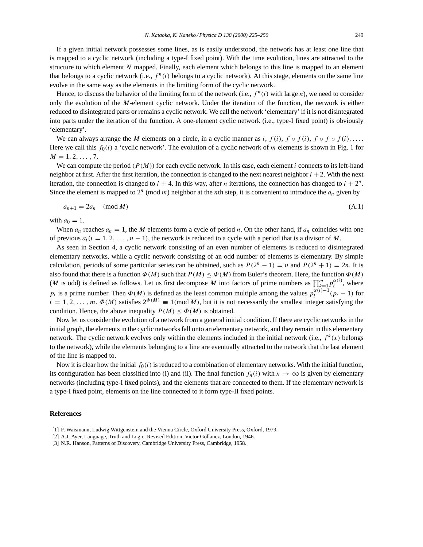If a given initial network possesses some lines, as is easily understood, the network has at least one line that is mapped to a cyclic network (including a type-I fixed point). With the time evolution, lines are attracted to the structure to which element N mapped. Finally, each element which belongs to this line is mapped to an element that belongs to a cyclic network (i.e.,  $f^n(i)$  belongs to a cyclic network). At this stage, elements on the same line evolve in the same way as the elements in the limiting form of the cyclic network.

Hence, to discuss the behavior of the limiting form of the network (i.e.,  $f^{n}(i)$  with large n), we need to consider only the evolution of the M-element cyclic network. Under the iteration of the function, the network is either reduced to disintegrated parts or remains a cyclic network. We call the network 'elementary' if it is not disintegrated into parts under the iteration of the function. A one-element cyclic network (i.e., type-I fixed point) is obviously 'elementary'.

We can always arrange the M elements on a circle, in a cyclic manner as i,  $f(i)$ ,  $f \circ f(i)$ ,  $f \circ f \circ f(i)$ , ... Here we call this  $f_0(i)$  a 'cyclic network'. The evolution of a cyclic network of m elements is shown in Fig. 1 for  $M = 1, 2, \ldots, 7.$ 

We can compute the period  $(P(M))$  for each cyclic network. In this case, each element i connects to its left-hand neighbor at first. After the first iteration, the connection is changed to the next nearest neighbor  $i + 2$ . With the next iteration, the connection is changed to  $i + 4$ . In this way, after *n* iterations, the connection has changed to  $i + 2<sup>n</sup>$ . Since the element is mapped to  $2^n \pmod{m}$  neighbor at the *n*th step, it is convenient to introduce the  $a_n$  given by

$$
a_{n+1} = 2a_n \pmod{M} \tag{A.1}
$$

with  $a_0 = 1$ .

When  $a_n$  reaches  $a_n = 1$ , the M elements form a cycle of period n. On the other hand, if  $a_n$  coincides with one of previous  $a_i(i = 1, 2, ..., n - 1)$ , the network is reduced to a cycle with a period that is a divisor of M.

As seen in Section 4, a cyclic network consisting of an even number of elements is reduced to disintegrated elementary networks, while a cyclic network consisting of an odd number of elements is elementary. By simple calculation, periods of some particular series can be obtained, such as  $P(2^{n} - 1) = n$  and  $P(2^{n} + 1) = 2n$ . It is also found that there is a function  $\Phi(M)$  such that  $P(M) \leq \Phi(M)$  from Euler's theorem. Here, the function  $\Phi(M)$ (*M* is odd) is defined as follows. Let us first decompose *M* into factors of prime numbers as  $\prod_{i=1}^{m} p_i^{\alpha(i)}$ , where  $p_i$  is a prime number. Then  $\Phi(M)$  is defined as the least common multiple among the values  $p_i^{\alpha(i)-1}(p_i-1)$  for  $i = 1, 2, \ldots, m$ .  $\Phi(M)$  satisfies  $2^{\Phi(M)} \equiv 1 \pmod{M}$ , but it is not necessarily the smallest integer satisfying the condition. Hence, the above inequality  $P(M) \le \Phi(M)$  is obtained.

Now let us consider the evolution of a network from a general initial condition. If there are cyclic networks in the initial graph, the elements in the cyclic networks fall onto an elementary network, and they remain in this elementary network. The cyclic network evolves only within the elements included in the initial network (i.e.,  $f^k(x)$  belongs to the network), while the elements belonging to a line are eventually attracted to the network that the last element of the line is mapped to.

Now it is clear how the initial  $f_0(i)$  is reduced to a combination of elementary networks. With the initial function, its configuration has been classified into (i) and (ii). The final function  $f_n(i)$  with  $n \to \infty$  is given by elementary networks (including type-I fixed points), and the elements that are connected to them. If the elementary network is a type-I fixed point, elements on the line connected to it form type-II fixed points.

# **References**

<sup>[1]</sup> F. Waismann, Ludwig Wittgenstein and the Vienna Circle, Oxford University Press, Oxford, 1979.

<sup>[2]</sup> A.J. Ayer, Language, Truth and Logic, Revised Edition, Victor Gollancz, London, 1946.

<sup>[3]</sup> N.R. Hanson, Patterns of Discovery, Cambridge University Press, Cambridge, 1958.